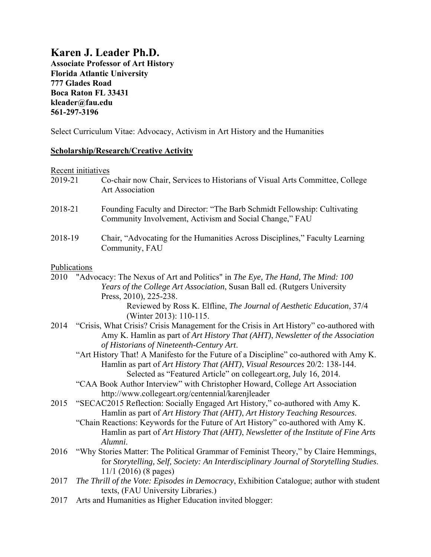# **Karen J. Leader Ph.D.**

**Associate Professor of Art History Florida Atlantic University 777 Glades Road Boca Raton FL 33431 kleader@fau.edu 561-297-3196** 

Select Curriculum Vitae: Advocacy, Activism in Art History and the Humanities

### **Scholarship/Research/Creative Activity**

Recent initiatives

|              | <u>Recent initiatives</u>                                                                                                                                                                                                                                                                                                                                                                             |
|--------------|-------------------------------------------------------------------------------------------------------------------------------------------------------------------------------------------------------------------------------------------------------------------------------------------------------------------------------------------------------------------------------------------------------|
| 2019-21      | Co-chair now Chair, Services to Historians of Visual Arts Committee, College<br><b>Art Association</b>                                                                                                                                                                                                                                                                                                |
| 2018-21      | Founding Faculty and Director: "The Barb Schmidt Fellowship: Cultivating<br>Community Involvement, Activism and Social Change," FAU                                                                                                                                                                                                                                                                   |
| 2018-19      | Chair, "Advocating for the Humanities Across Disciplines," Faculty Learning<br>Community, FAU                                                                                                                                                                                                                                                                                                         |
| Publications |                                                                                                                                                                                                                                                                                                                                                                                                       |
|              | 2010 "Advocacy: The Nexus of Art and Politics" in The Eye, The Hand, The Mind: 100<br>Years of the College Art Association, Susan Ball ed. (Rutgers University<br>Press, 2010), 225-238.                                                                                                                                                                                                              |
|              | Reviewed by Ross K. Elfline, The Journal of Aesthetic Education, 37/4<br>(Winter 2013): 110-115.                                                                                                                                                                                                                                                                                                      |
|              | 2014 "Crisis, What Crisis? Crisis Management for the Crisis in Art History" co-authored with<br>Amy K. Hamlin as part of Art History That (AHT), Newsletter of the Association<br>of Historians of Nineteenth-Century Art.                                                                                                                                                                            |
|              | "Art History That! A Manifesto for the Future of a Discipline" co-authored with Amy K.<br>Hamlin as part of Art History That (AHT), Visual Resources 20/2: 138-144.                                                                                                                                                                                                                                   |
|              | Selected as "Featured Article" on collegeart.org, July 16, 2014.<br>"CAA Book Author Interview" with Christopher Howard, College Art Association                                                                                                                                                                                                                                                      |
| 2015         | http://www.collegeart.org/centennial/karenjleader<br>"SECAC2015 Reflection: Socially Engaged Art History," co-authored with Amy K.<br>Hamlin as part of Art History That (AHT), Art History Teaching Resources.<br>"Chain Reactions: Keywords for the Future of Art History" co-authored with Amy K.<br>Hamlin as part of Art History That (AHT), Newsletter of the Institute of Fine Arts<br>Alumni. |
| 2016         | "Why Stories Matter: The Political Grammar of Feminist Theory," by Claire Hemmings,<br>for Storytelling, Self, Society: An Interdisciplinary Journal of Storytelling Studies.<br>$11/1$ (2016) (8 pages)                                                                                                                                                                                              |
| 2017         | The Thrill of the Vote: Episodes in Democracy, Exhibition Catalogue; author with student<br>texts, (FAU University Libraries.)                                                                                                                                                                                                                                                                        |
| 2017         | Arts and Humanities as Higher Education invited blogger:                                                                                                                                                                                                                                                                                                                                              |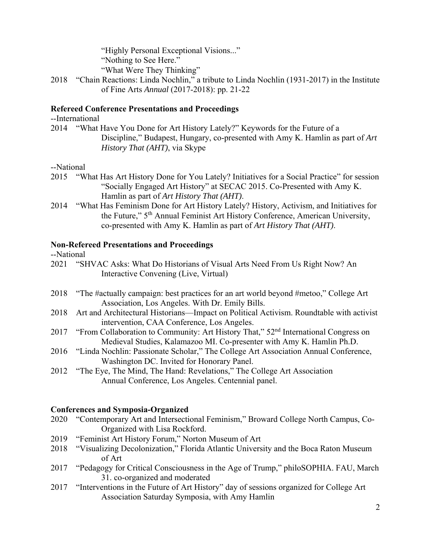"Highly Personal Exceptional Visions..." "Nothing to See Here."

- "What Were They Thinking"
- 2018 "Chain Reactions: Linda Nochlin," a tribute to Linda Nochlin (1931-2017) in the Institute of Fine Arts *Annual* (2017-2018): pp. 21-22

#### **Refereed Conference Presentations and Proceedings**

--International

2014 "What Have You Done for Art History Lately?" Keywords for the Future of a Discipline," Budapest, Hungary, co-presented with Amy K. Hamlin as part of *Art History That (AHT)*, via Skype

#### --National

- 2015 "What Has Art History Done for You Lately? Initiatives for a Social Practice" for session "Socially Engaged Art History" at SECAC 2015. Co-Presented with Amy K. Hamlin as part of *Art History That (AHT)*.
- 2014 "What Has Feminism Done for Art History Lately? History, Activism, and Initiatives for the Future," 5th Annual Feminist Art History Conference, American University, co-presented with Amy K. Hamlin as part of *Art History That (AHT)*.

#### **Non-Refereed Presentations and Proceedings**

#### --National

- 2021 "SHVAC Asks: What Do Historians of Visual Arts Need From Us Right Now? An Interactive Convening (Live, Virtual)
- 2018 "The #actually campaign: best practices for an art world beyond #metoo," College Art Association, Los Angeles. With Dr. Emily Bills.
- 2018 Art and Architectural Historians—Impact on Political Activism. Roundtable with activist intervention, CAA Conference, Los Angeles.
- 2017 "From Collaboration to Community: Art History That," 52<sup>nd</sup> International Congress on Medieval Studies, Kalamazoo MI. Co-presenter with Amy K. Hamlin Ph.D.
- 2016 "Linda Nochlin: Passionate Scholar," The College Art Association Annual Conference, Washington DC. Invited for Honorary Panel.
- 2012 "The Eye, The Mind, The Hand: Revelations," The College Art Association Annual Conference, Los Angeles. Centennial panel.

#### **Conferences and Symposia-Organized**

- 2020 "Contemporary Art and Intersectional Feminism," Broward College North Campus, Co- Organized with Lisa Rockford.
- 2019 "Feminist Art History Forum," Norton Museum of Art
- 2018 "Visualizing Decolonization," Florida Atlantic University and the Boca Raton Museum of Art
- 2017 "Pedagogy for Critical Consciousness in the Age of Trump," philoSOPHIA. FAU, March 31. co-organized and moderated
- 2017 "Interventions in the Future of Art History" day of sessions organized for College Art Association Saturday Symposia, with Amy Hamlin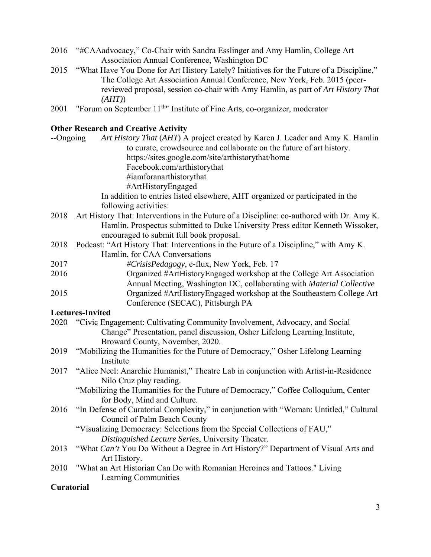- 2016 "#CAAadvocacy," Co-Chair with Sandra Esslinger and Amy Hamlin, College Art Association Annual Conference, Washington DC
- 2015 "What Have You Done for Art History Lately? Initiatives for the Future of a Discipline," The College Art Association Annual Conference, New York, Feb. 2015 (peer reviewed proposal, session co-chair with Amy Hamlin, as part of *Art History That (AHT)*)
- 2001 "Forum on September 11<sup>th</sup>" Institute of Fine Arts, co-organizer, moderator

### **Other Research and Creative Activity**

| --Ongoing  | Art History That (AHT) A project created by Karen J. Leader and Amy K. Hamlin<br>to curate, crowdsource and collaborate on the future of art history. |
|------------|-------------------------------------------------------------------------------------------------------------------------------------------------------|
|            | https://sites.google.com/site/arthistorythat/home                                                                                                     |
|            | Facebook.com/arthistorythat                                                                                                                           |
|            | #iamforanarthistorythat                                                                                                                               |
|            | #ArtHistoryEngaged                                                                                                                                    |
|            | In addition to entries listed elsewhere, AHT organized or participated in the                                                                         |
|            | following activities:                                                                                                                                 |
| 2018       | Art History That: Interventions in the Future of a Discipline: co-authored with Dr. Amy K.                                                            |
|            | Hamlin. Prospectus submitted to Duke University Press editor Kenneth Wissoker,                                                                        |
|            | encouraged to submit full book proposal.                                                                                                              |
| 2018       | Podcast: "Art History That: Interventions in the Future of a Discipline," with Amy K.                                                                 |
|            | Hamlin, for CAA Conversations                                                                                                                         |
| 2017       | #CrisisPedagogy, e-flux, New York, Feb. 17                                                                                                            |
| 2016       | Organized #ArtHistoryEngaged workshop at the College Art Association                                                                                  |
|            | Annual Meeting, Washington DC, collaborating with Material Collective                                                                                 |
| 2015       | Organized #ArtHistoryEngaged workshop at the Southeastern College Art                                                                                 |
|            | Conference (SECAC), Pittsburgh PA                                                                                                                     |
|            | <b>Lectures-Invited</b>                                                                                                                               |
| 2020       | "Civic Engagement: Cultivating Community Involvement, Advocacy, and Social                                                                            |
|            | Change" Presentation, panel discussion, Osher Lifelong Learning Institute,                                                                            |
|            | Broward County, November, 2020.                                                                                                                       |
| 2019       | "Mobilizing the Humanities for the Future of Democracy," Osher Lifelong Learning<br>Institute                                                         |
| 2017       | "Alice Neel: Anarchic Humanist," Theatre Lab in conjunction with Artist-in-Residence                                                                  |
|            | Nilo Cruz play reading.                                                                                                                               |
|            | "Mobilizing the Humanities for the Future of Democracy," Coffee Colloquium, Center                                                                    |
|            | for Body, Mind and Culture.                                                                                                                           |
| 2016       | "In Defense of Curatorial Complexity," in conjunction with "Woman: Untitled," Cultural                                                                |
|            | Council of Palm Beach County                                                                                                                          |
|            | "Visualizing Democracy: Selections from the Special Collections of FAU,"                                                                              |
|            | Distinguished Lecture Series, University Theater.                                                                                                     |
| 2013       | "What Can't You Do Without a Degree in Art History?" Department of Visual Arts and                                                                    |
|            | Art History.                                                                                                                                          |
| 2010       | "What an Art Historian Can Do with Romanian Heroines and Tattoos." Living                                                                             |
|            | Learning Communities                                                                                                                                  |
| Curatorial |                                                                                                                                                       |